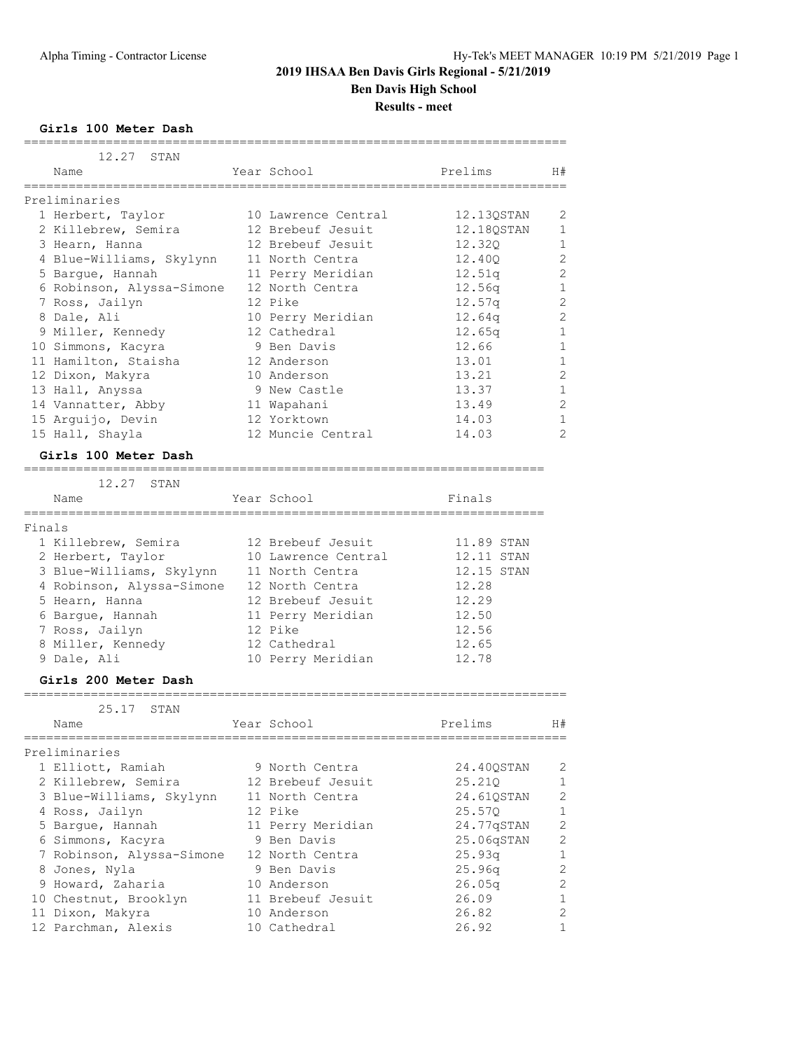**Girls 100 Meter Dash**

| 12.27 STAN                |                     |                    |                |
|---------------------------|---------------------|--------------------|----------------|
| Name                      | Year School         | Prelims            | H#             |
| Preliminaries             |                     |                    |                |
| 1 Herbert, Taylor         | 10 Lawrence Central | 12.130STAN         | $\overline{2}$ |
| 2 Killebrew, Semira       | 12 Brebeuf Jesuit   | 12.180STAN         | 1              |
| 3 Hearn, Hanna            | 12 Brebeuf Jesuit   | 12.320             | $1\,$          |
| 4 Blue-Williams, Skylynn  | 11 North Centra     | 12,400             | $\overline{c}$ |
| 5 Barque, Hannah          | 11 Perry Meridian   | 12.51 <sub>q</sub> | $\overline{c}$ |
| 6 Robinson, Alyssa-Simone | 12 North Centra     | 12.56q             | $\mathbf{1}$   |
| 7 Ross, Jailyn            | 12 Pike             | 12.57q             | $\overline{c}$ |
| 8 Dale, Ali               | 10 Perry Meridian   | 12.64q             | $\overline{c}$ |
| 9 Miller, Kennedy         | 12 Cathedral        | 12.65q             | $\mathbf{1}$   |
| 10 Simmons, Kacyra        | 9 Ben Davis         | 12.66              | $1\,$          |
| 11 Hamilton, Staisha      | 12 Anderson         | 13.01              | $\mathbf{1}$   |
| 12 Dixon, Makyra          | 10 Anderson         | 13.21              | $\overline{c}$ |
| 13 Hall, Anyssa           | 9 New Castle        | 13.37              | $\mathbf{1}$   |
| 14 Vannatter, Abby        | 11 Wapahani         | 13.49              | $\overline{c}$ |
| 15 Arquijo, Devin         | 12 Yorktown         | 14.03              | $\mathbf{1}$   |
| 15 Hall, Shayla           | 12 Muncie Central   | 14.03              | $\overline{2}$ |
| Girls 100 Meter Dash      |                     |                    |                |
| 12.27 STAN                |                     |                    |                |
| Name                      | Year School         | Finals             |                |
| Finals                    |                     |                    |                |

=========================================================================

| $\Gamma$ $\perp$ $\Gamma$ $\Omega$ $\perp$ $\Omega$ |                           |                     |            |  |
|-----------------------------------------------------|---------------------------|---------------------|------------|--|
|                                                     | 1 Killebrew, Semira       | 12 Brebeuf Jesuit   | 11.89 STAN |  |
|                                                     | 2 Herbert, Taylor         | 10 Lawrence Central | 12.11 STAN |  |
|                                                     | 3 Blue-Williams, Skylynn  | 11 North Centra     | 12.15 STAN |  |
|                                                     | 4 Robinson, Alyssa-Simone | 12 North Centra     | 12.28      |  |
|                                                     | 5 Hearn, Hanna            | 12 Brebeuf Jesuit   | 12.29      |  |
|                                                     | 6 Barque, Hannah          | 11 Perry Meridian   | 12.50      |  |
|                                                     | 7 Ross, Jailyn            | 12 Pike             | 12.56      |  |
|                                                     | 8 Miller, Kennedy         | 12 Cathedral        | 12.65      |  |
|                                                     | 9 Dale, Ali               | 10 Perry Meridian   | 12.78      |  |

#### **Girls 200 Meter Dash**

# ========================================================================= 25.17 STAN Name Year School Prelims H# ========================================================================= Preliminaries 1 Elliott, Ramiah 9 North Centra 24.40QSTAN 2 2 Killebrew, Semira 12 Brebeuf Jesuit 25.21Q 1 3 Blue-Williams, Skylynn 11 North Centra 24.61QSTAN 2 4 Ross, Jailyn 12 Pike 25.57Q 1 5 Bargue, Hannah 11 Perry Meridian 24.77qSTAN 2 6 Simmons, Kacyra 9 Ben Davis 25.06qSTAN 2 7 Robinson, Alyssa-Simone 12 North Centra 25.93q 1 8 Jones, Nyla 9 Ben Davis 25.96q 2 9 Howard, Zaharia 10 Anderson 26.05q 2 10 Chestnut, Brooklyn 11 Brebeuf Jesuit 26.09 1 11 Dixon, Makyra 10 Anderson 26.82 2 12 Parchman, Alexis 10 Cathedral 26.92 1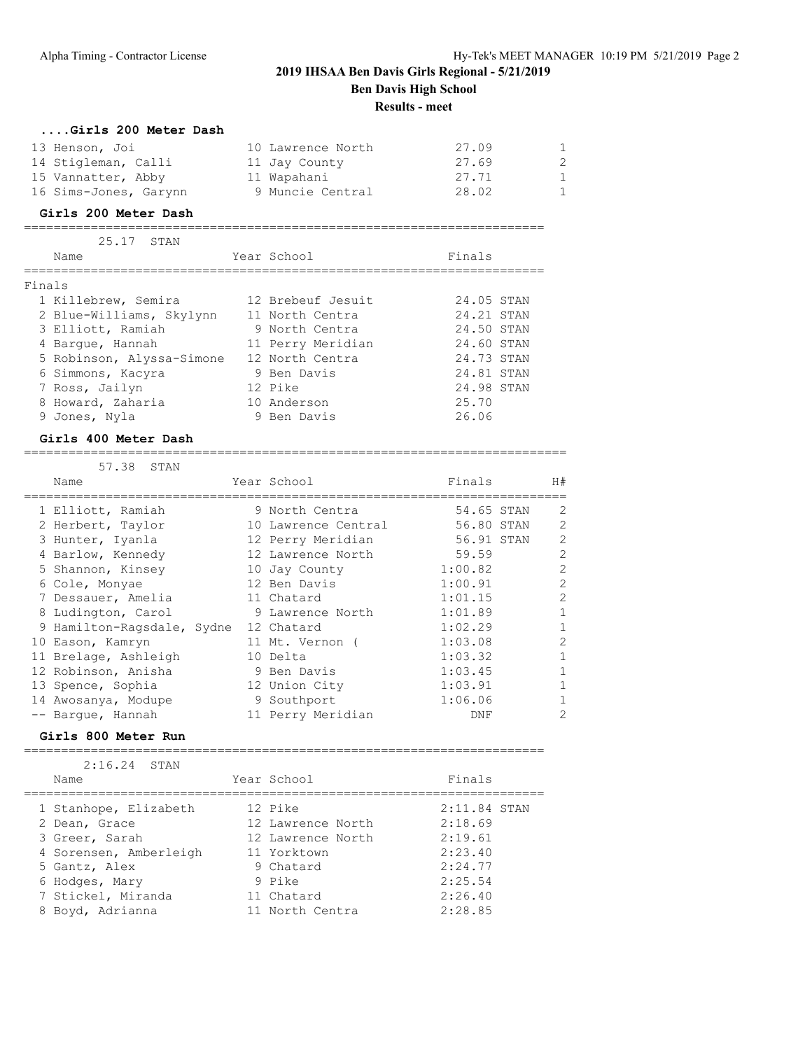| Girls 200 Meter Dash  |                   |       |              |
|-----------------------|-------------------|-------|--------------|
| 13 Henson, Joi        | 10 Lawrence North | 27.09 | $\mathbf{1}$ |
| 14 Stigleman, Calli   | 11 Jay County     | 27.69 | 2            |
| 15 Vannatter, Abby    | 11 Wapahani       | 27.71 | -1           |
| 16 Sims-Jones, Garynn | 9 Muncie Central  | 28.02 | -1           |

#### **Girls 200 Meter Dash**

======================================================================

|        | 25,17 STAN                |                   |            |
|--------|---------------------------|-------------------|------------|
|        | Name                      | Year School       | Finals     |
|        |                           |                   |            |
| Finals |                           |                   |            |
|        | 1 Killebrew, Semira       | 12 Brebeuf Jesuit | 24.05 STAN |
|        | 2 Blue-Williams, Skylynn  | 11 North Centra   | 24.21 STAN |
|        | 3 Elliott, Ramiah         | 9 North Centra    | 24.50 STAN |
|        | 4 Barque, Hannah          | 11 Perry Meridian | 24.60 STAN |
|        | 5 Robinson, Alyssa-Simone | 12 North Centra   | 24.73 STAN |
|        | 6 Simmons, Kacyra         | 9 Ben Davis       | 24.81 STAN |
|        | 7 Ross, Jailyn            | 12 Pike           | 24.98 STAN |
| 8      | Howard, Zaharia           | 10 Anderson       | 25.70      |
|        | 9 Jones, Nyla             | 9 Ben Davis       | 26.06      |

#### **Girls 400 Meter Dash**

=========================================================================

| 57.38 STAN                 |                     |            |                |
|----------------------------|---------------------|------------|----------------|
| Name                       | Year School         | Finals     | H#             |
| 1 Elliott, Ramiah          | 9 North Centra      | 54.65 STAN | 2              |
| 2 Herbert, Taylor          | 10 Lawrence Central | 56.80 STAN | $\overline{2}$ |
| 3 Hunter, Iyanla           | 12 Perry Meridian   | 56.91 STAN | 2              |
| 4 Barlow, Kennedy          | 12 Lawrence North   | 59.59      | 2              |
| 5 Shannon, Kinsey          | 10 Jay County       | 1:00.82    | $\mathfrak{D}$ |
| 6 Cole, Monyae             | 12 Ben Davis        | 1:00.91    | $\mathfrak{D}$ |
| 7 Dessauer, Amelia         | 11 Chatard          | 1:01.15    | 2              |
| 8 Ludington, Carol         | 9 Lawrence North    | 1:01.89    |                |
| 9 Hamilton-Ragsdale, Sydne | 12 Chatard          | 1:02.29    |                |
| 10 Eason, Kamryn           | 11 Mt. Vernon (     | 1:03.08    | $\mathfrak{D}$ |
| 11 Brelage, Ashleigh       | 10 Delta            | 1:03.32    |                |
| 12 Robinson, Anisha        | 9 Ben Davis         | 1:03.45    |                |
| 13 Spence, Sophia          | 12 Union City       | 1:03.91    |                |
| 14 Awosanya, Modupe        | 9 Southport         | 1:06.06    |                |
| -- Barque, Hannah          | 11 Perry Meridian   | DNF        | 2              |

#### **Girls 800 Meter Run**

======================================================================

| $2:16.24$ STAN         |                   |                |
|------------------------|-------------------|----------------|
| Name                   | Year School       | Finals         |
| 1 Stanhope, Elizabeth  | 12 Pike           | $2:11.84$ STAN |
| 2 Dean, Grace          | 12 Lawrence North | 2:18.69        |
| 3 Greer, Sarah         | 12 Lawrence North | 2:19.61        |
| 4 Sorensen, Amberleigh | 11 Yorktown       | 2:23.40        |
| 5 Gantz, Alex          | 9 Chatard         | 2:24.77        |
| 6 Hodges, Mary         | 9 Pike            | 2:25.54        |
| 7 Stickel, Miranda     | 11 Chatard        | 2:26.40        |
| 8 Boyd, Adrianna       | 11 North Centra   | 2:28.85        |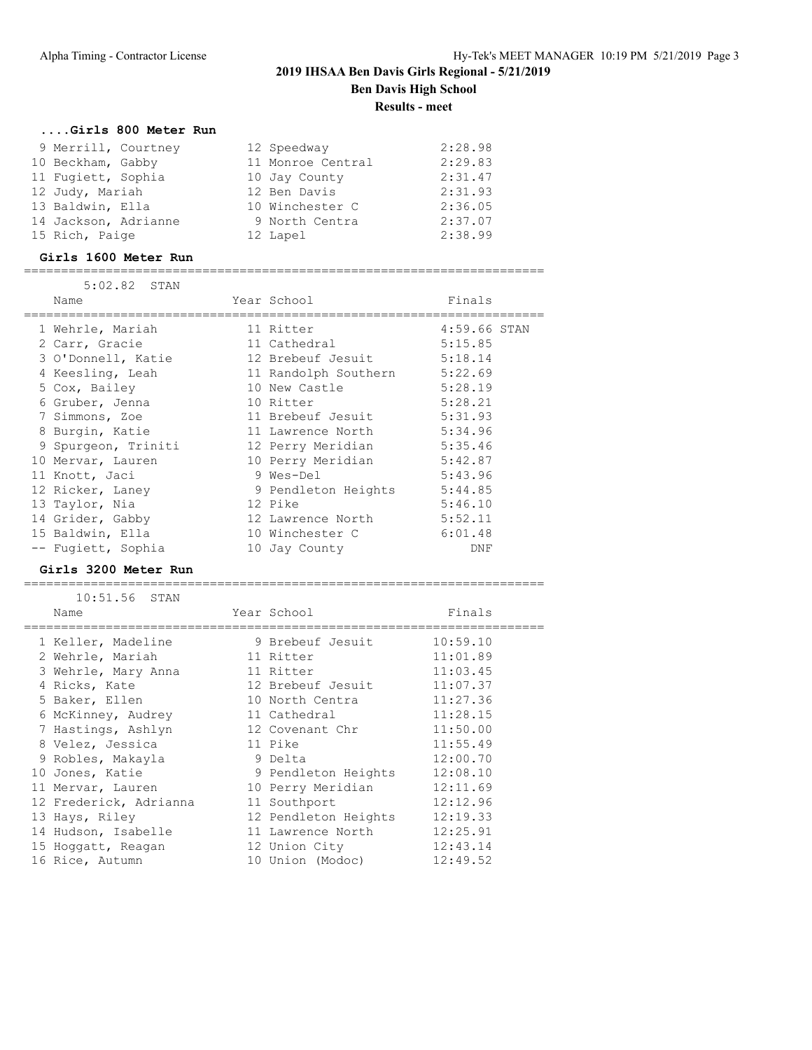#### **....Girls 800 Meter Run**

| 9 Merrill, Courtney  | 12 Speedway       | 2:28.98 |
|----------------------|-------------------|---------|
| 10 Beckham, Gabby    | 11 Monroe Central | 2:29.83 |
| 11 Fugiett, Sophia   | 10 Jay County     | 2:31.47 |
| 12 Judy, Mariah      | 12 Ben Davis      | 2:31.93 |
| 13 Baldwin, Ella     | 10 Winchester C   | 2:36.05 |
| 14 Jackson, Adrianne | 9 North Centra    | 2:37.07 |
| 15 Rich, Paige       | 12 Lapel          | 2:38.99 |

#### **Girls 1600 Meter Run**

======================================================================

| 5:02.82 STAN        |                      |              |
|---------------------|----------------------|--------------|
| Name                | Year School          | Finals       |
|                     |                      |              |
| 1 Wehrle, Mariah    | 11 Ritter            | 4:59.66 STAN |
| 2 Carr, Gracie      | 11 Cathedral         | 5:15.85      |
| 3 O'Donnell, Katie  | 12 Brebeuf Jesuit    | 5:18.14      |
| 4 Keesling, Leah    | 11 Randolph Southern | 5:22.69      |
| 5 Cox, Bailey       | 10 New Castle        | 5:28.19      |
| 6 Gruber, Jenna     | 10 Ritter            | 5:28.21      |
| 7 Simmons, Zoe      | 11 Brebeuf Jesuit    | 5:31.93      |
| 8 Burgin, Katie     | 11 Lawrence North    | 5:34.96      |
| 9 Spurgeon, Triniti | 12 Perry Meridian    | 5:35.46      |
| 10 Mervar, Lauren   | 10 Perry Meridian    | 5:42.87      |
| 11 Knott, Jaci      | 9 Wes-Del            | 5:43.96      |
| 12 Ricker, Laney    | 9 Pendleton Heights  | 5:44.85      |
| 13 Taylor, Nia      | 12 Pike              | 5:46.10      |
| 14 Grider, Gabby    | 12 Lawrence North    | 5:52.11      |
| 15 Baldwin, Ella    | 10 Winchester C      | 6:01.48      |
| -- Fugiett, Sophia  | 10 Jay County        | DNF          |

#### **Girls 3200 Meter Run**

======================================================================

| 10:51.56 STAN          |                      |          |
|------------------------|----------------------|----------|
| Name                   | Year School          | Finals   |
| 1 Keller, Madeline     | 9 Brebeuf Jesuit     | 10:59.10 |
| 2 Wehrle, Mariah       | 11 Ritter            | 11:01.89 |
| 3 Wehrle, Mary Anna    | 11 Ritter            | 11:03.45 |
| 4 Ricks, Kate          | 12 Brebeuf Jesuit    | 11:07.37 |
| 5 Baker, Ellen         | 10 North Centra      | 11:27.36 |
| 6 McKinney, Audrey     | 11 Cathedral         | 11:28.15 |
| 7 Hastings, Ashlyn     | 12 Covenant Chr      | 11:50.00 |
| 8 Velez, Jessica       | 11 Pike              | 11:55.49 |
| 9 Robles, Makayla      | 9 Delta              | 12:00.70 |
| 10 Jones, Katie        | 9 Pendleton Heights  | 12:08.10 |
| 11 Mervar, Lauren      | 10 Perry Meridian    | 12:11.69 |
| 12 Frederick, Adrianna | 11 Southport         | 12:12.96 |
| 13 Hays, Riley         | 12 Pendleton Heights | 12:19.33 |
| 14 Hudson, Isabelle    | 11 Lawrence North    | 12:25.91 |
| 15 Hoggatt, Reagan     | 12 Union City        | 12:43.14 |
| 16 Rice, Autumn        | 10 Union (Modoc)     | 12:49.52 |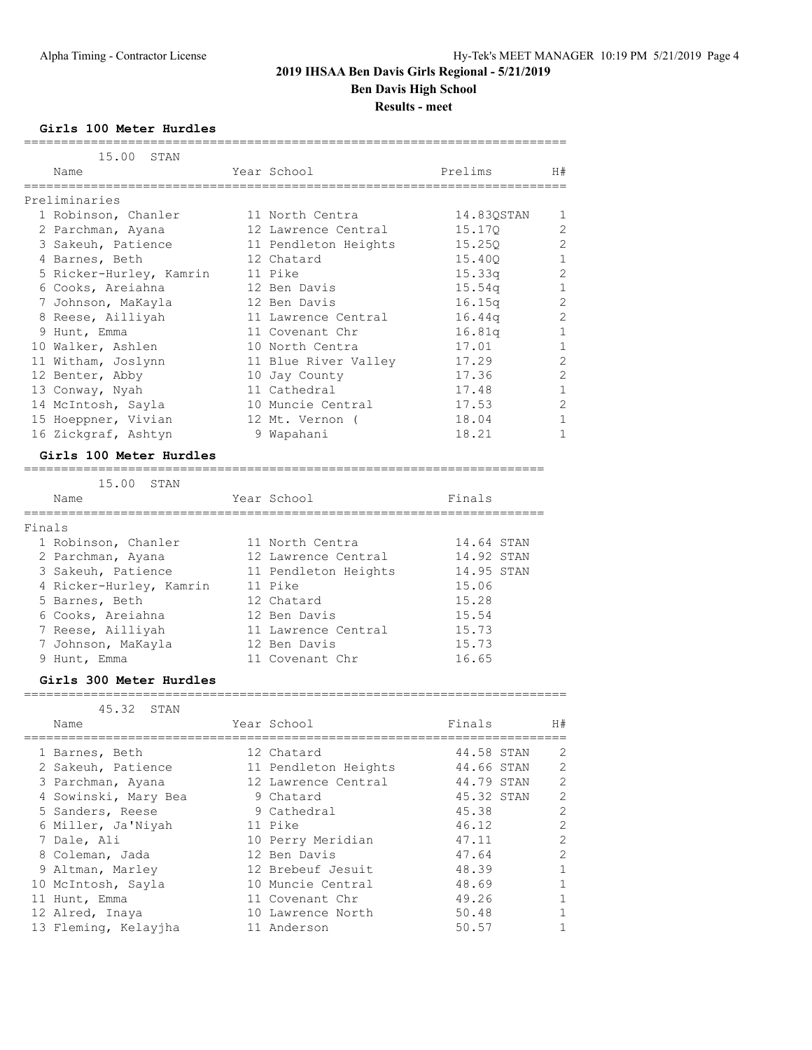**Girls 100 Meter Hurdles**

| 15.00 STAN              |                      |            |                |
|-------------------------|----------------------|------------|----------------|
| Name                    | Year School          | Prelims    | H#             |
|                         |                      |            |                |
| Preliminaries           |                      |            |                |
| 1 Robinson, Chanler     | 11 North Centra      | 14.83QSTAN | $\mathbf{1}$   |
| 2 Parchman, Ayana       | 12 Lawrence Central  | 15.170     | 2              |
| 3 Sakeuh, Patience      | 11 Pendleton Heights | 15.250     | $\overline{c}$ |
| 4 Barnes, Beth          | 12 Chatard           | 15.400     | $\mathbf 1$    |
| 5 Ricker-Hurley, Kamrin | 11 Pike              | 15.33q     | $\overline{2}$ |
| 6 Cooks, Areiahna       | 12 Ben Davis         | 15.54q     | $\mathbf{1}$   |
| 7 Johnson, MaKayla      | 12 Ben Davis         | 16.15q     | $\overline{c}$ |
| 8 Reese, Ailliyah       | 11 Lawrence Central  | 16.44g     | $\overline{c}$ |
| 9 Hunt, Emma            | 11 Covenant Chr      | 16.81q     | $\mathbf{1}$   |
| 10 Walker, Ashlen       | 10 North Centra      | 17.01      | $\mathbf{1}$   |
| 11 Witham, Joslynn      | 11 Blue River Valley | 17.29      | $\overline{2}$ |
| 12 Benter, Abby         | 10 Jay County        | 17.36      | $\overline{2}$ |
| 13 Conway, Nyah         | 11 Cathedral         | 17.48      | $\mathbf{1}$   |
| 14 McIntosh, Sayla      | 10 Muncie Central    | 17.53      | $\mathbf{2}$   |
| 15 Hoeppner, Vivian     | 12 Mt. Vernon (      | 18.04      | $\mathbf{1}$   |
| 16 Zickgraf, Ashtyn     | 9 Wapahani           | 18.21      |                |

#### **Girls 100 Meter Hurdles**

#### ======================================================================

| 15.00 STAN              |                      |            |
|-------------------------|----------------------|------------|
| Name                    | Year School          | Finals     |
| Finals                  |                      |            |
| 1 Robinson, Chanler     | 11 North Centra      | 14.64 STAN |
| 2 Parchman, Ayana       | 12 Lawrence Central  | 14.92 STAN |
| 3 Sakeuh, Patience      | 11 Pendleton Heights | 14.95 STAN |
| 4 Ricker-Hurley, Kamrin | 11 Pike              | 15.06      |
| 5 Barnes, Beth          | 12 Chatard           | 15.28      |
| 6 Cooks, Areiahna       | 12 Ben Davis         | 15.54      |
| 7 Reese, Ailliyah       | 11 Lawrence Central  | 15.73      |
| 7 Johnson, MaKayla      | 12 Ben Davis         | 15.73      |
| 9 Hunt, Emma            | 11 Covenant Chr      | 16.65      |

#### **Girls 300 Meter Hurdles**

#### =========================================================================

| 45.32 STAN           |                      |            |                |
|----------------------|----------------------|------------|----------------|
| Name                 | Year School          | Finals     | H#             |
| 1 Barnes, Beth       | 12 Chatard           | 44.58 STAN | 2              |
| 2 Sakeuh, Patience   | 11 Pendleton Heights | 44.66 STAN | 2              |
| 3 Parchman, Ayana    | 12 Lawrence Central  | 44.79 STAN | 2              |
| 4 Sowinski, Mary Bea | 9 Chatard            | 45.32 STAN | $\overline{2}$ |
| 5 Sanders, Reese     | 9 Cathedral          | 45.38      | $\overline{2}$ |
| 6 Miller, Ja'Niyah   | 11 Pike              | 46.12      | $\overline{2}$ |
| 7 Dale, Ali          | 10 Perry Meridian    | 47.11      | $\overline{2}$ |
| 8 Coleman, Jada      | 12 Ben Davis         | 47.64      | $\overline{2}$ |
| 9 Altman, Marley     | 12 Brebeuf Jesuit    | 48.39      | $\mathbf{1}$   |
| 10 McIntosh, Sayla   | 10 Muncie Central    | 48.69      |                |
| 11 Hunt, Emma        | 11 Covenant Chr      | 49.26      |                |
| 12 Alred, Inaya      | 10 Lawrence North    | 50.48      | 1              |
| 13 Fleming, Kelayjha | 11 Anderson          | 50.57      |                |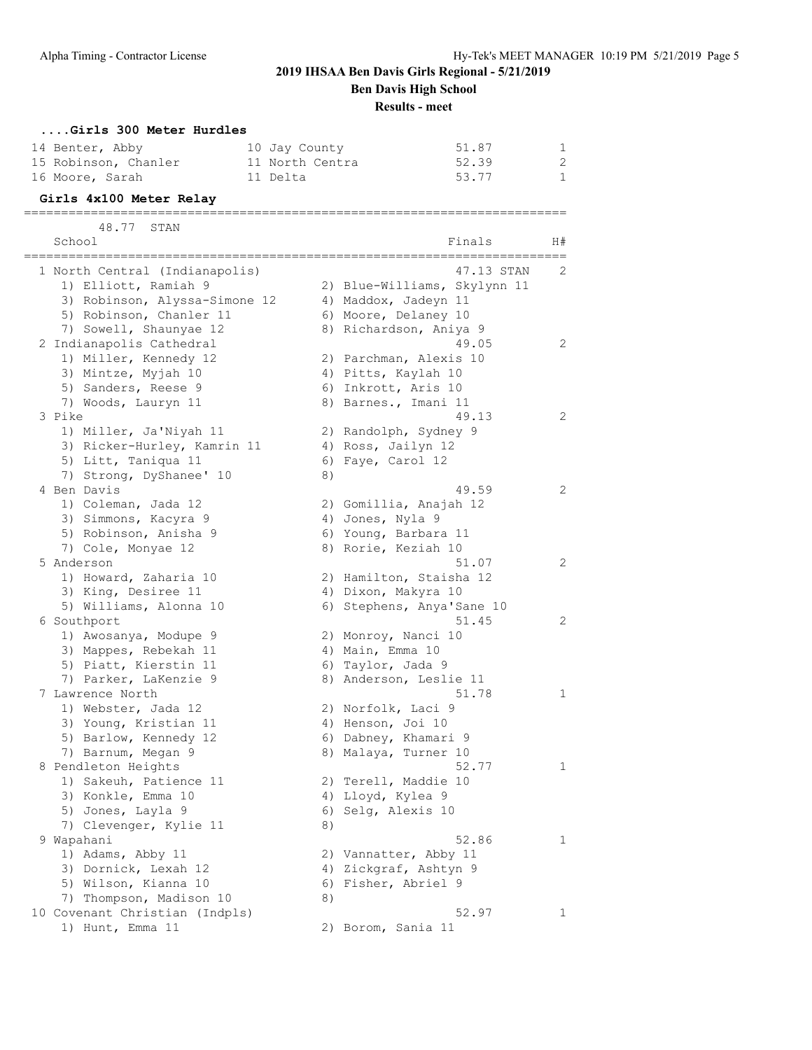# **2019 IHSAA Ben Davis Girls Regional - 5/21/2019**

**Ben Davis High School**

**Results - meet**

# **....Girls 300 Meter Hurdles** 14 Benter, Abby 10 Jay County 51.87 1

| 15 Robinson, Chanler | 11 North Centra | 52.39 |  |
|----------------------|-----------------|-------|--|
| 16 Moore, Sarah      | 11 Delta        | 53.77 |  |

#### **Girls 4x100 Meter Relay** =========================================================================

48.77 STAN<br>School School Finals H# ========================================================================= 1 North Central (Indianapolis) 47.13 STAN 2 1) Elliott, Ramiah 9 2) Blue-Williams, Skylynn 11 3) Robinson, Alyssa-Simone 12 4) Maddox, Jadeyn 11 5) Robinson, Chanler 11 6) Moore, Delaney 10 7) Sowell, Shaunyae 12 8) Richardson, Aniya 9 2 Indianapolis Cathedral 49.05 2 1) Miller, Kennedy 12 2) Parchman, Alexis 10 3) Mintze, Myjah 10  $\hskip1cm$  4) Pitts, Kaylah 10 5) Sanders, Reese 9 6) Inkrott, Aris 10 7) Woods, Lauryn 11 1888 890 Barnes., Imani 11 3 Pike 49.13 2 1) Miller, Ja'Niyah 11 2) Randolph, Sydney 9 3) Ricker-Hurley, Kamrin 11  $\hskip10mm 4$ ) Ross, Jailyn 12 5) Litt, Taniqua 11 6) Faye, Carol 12 7) Strong, DyShanee' 10 8) 4 Ben Davis 2014 19:59 1) Coleman, Jada 12 2) Gomillia, Anajah 12 3) Simmons, Kacyra 9 1944 (4) Jones, Nyla 9 5) Robinson, Anisha 9 6) Young, Barbara 11 7) Cole, Monyae 12 8) Rorie, Keziah 10 5 Anderson 51.07 2 1) Howard, Zaharia 10 2) Hamilton, Staisha 12 3) King, Desiree 11 (4) Dixon, Makyra 10 5) Williams, Alonna 10 6) Stephens, Anya'Sane 10 6 Southport 51.45 2 1) Awosanya, Modupe 9 2) Monroy, Nanci 10 3) Mappes, Rebekah 11  $\hspace{1cm}$  4) Main, Emma 10 5) Piatt, Kierstin 11 6) Taylor, Jada 9 7) Parker, LaKenzie 9 8) Anderson, Leslie 11 7 Lawrence North 51.78 1 1) Webster, Jada 12 2) Norfolk, Laci 9 3) Young, Kristian 11 4) Henson, Joi 10 5) Barlow, Kennedy 12 (6) Dabney, Khamari 9 7) Barnum, Megan 9 8 8) Malaya, Turner 10 8 Pendleton Heights 32.77 and 1 1) Sakeuh, Patience 11 2) Terell, Maddie 10 3) Konkle, Emma 10 4) Lloyd, Kylea 9 5) Jones, Layla 9 6) Selg, Alexis 10 7) Clevenger, Kylie 11 and 8) 9 Wapahani 52.86 2012 12:00 12:00 12:00 12:00 12:00 12:00 12:00 12:00 12:00 12:00 12:00 12:00 12:00 12:00 12:0 1) Adams, Abby 11 2) Vannatter, Abby 11 3) Dornick, Lexah 12 4) Zickgraf, Ashtyn 9 5) Wilson, Kianna 10 6) Fisher, Abriel 9 7) Thompson, Madison 10 8) 10 Covenant Christian (Indpls) 52.97 1 1) Hunt, Emma 11 2) Borom, Sania 11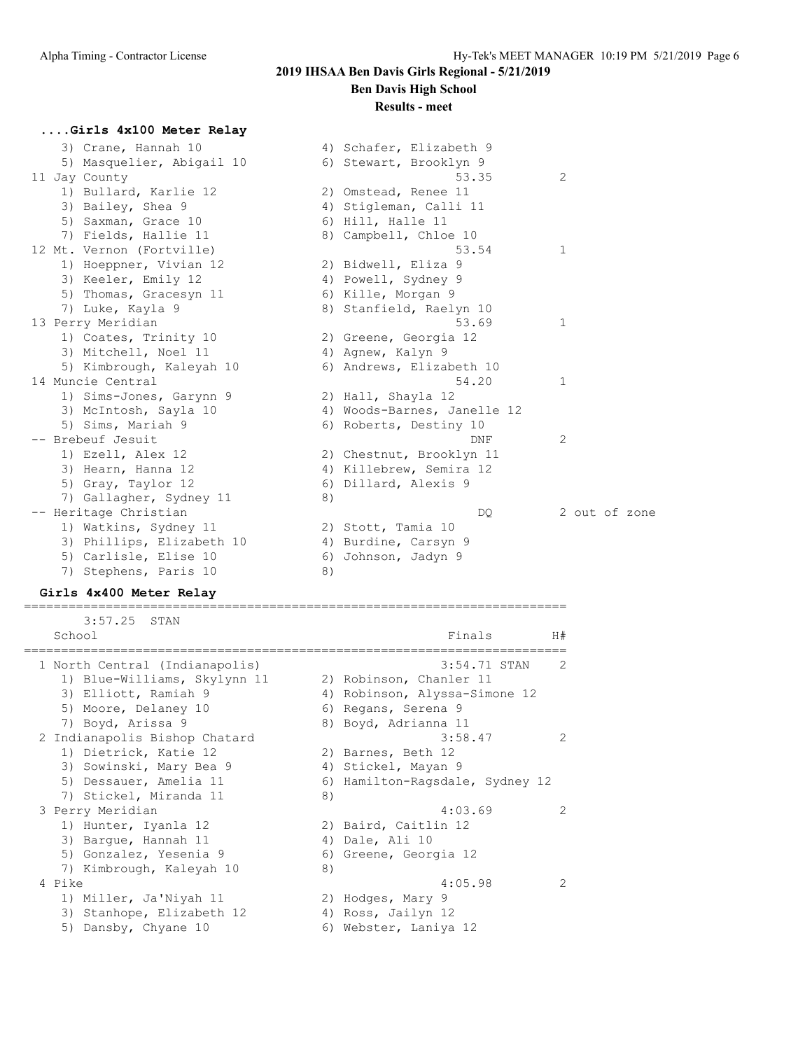# **2019 IHSAA Ben Davis Girls Regional - 5/21/2019**

# **Ben Davis High School**

#### **Results - meet**

#### **....Girls 4x100 Meter Relay**

| 3) Crane, Hannah 10                                                                                                                                                                                                                                                                                                                                           |    | 4) Schafer, Elizabeth 9     |               |
|---------------------------------------------------------------------------------------------------------------------------------------------------------------------------------------------------------------------------------------------------------------------------------------------------------------------------------------------------------------|----|-----------------------------|---------------|
| 5) Masquelier, Abigail 10                                                                                                                                                                                                                                                                                                                                     |    | 6) Stewart, Brooklyn 9      |               |
| 11 Jay County                                                                                                                                                                                                                                                                                                                                                 |    | 53.35                       | 2             |
| 1) Bullard, Karlie 12                                                                                                                                                                                                                                                                                                                                         |    | 2) Omstead, Renee 11        |               |
| 3) Bailey, Shea 9                                                                                                                                                                                                                                                                                                                                             | 4) | Stigleman, Calli 11         |               |
| 5) Saxman, Grace 10                                                                                                                                                                                                                                                                                                                                           |    | 6) Hill, Halle 11           |               |
| 7) Fields, Hallie 11                                                                                                                                                                                                                                                                                                                                          |    | 8) Campbell, Chloe 10       |               |
| 12 Mt. Vernon (Fortville)                                                                                                                                                                                                                                                                                                                                     |    | 53.54                       | 1             |
| 1) Hoeppner, Vivian 12                                                                                                                                                                                                                                                                                                                                        |    | 2) Bidwell, Eliza 9         |               |
| 3) Keeler, Emily 12                                                                                                                                                                                                                                                                                                                                           |    | 4) Powell, Sydney 9         |               |
| 5) Thomas, Gracesyn 11                                                                                                                                                                                                                                                                                                                                        |    | 6) Kille, Morgan 9          |               |
| 7) Luke, Kayla 9                                                                                                                                                                                                                                                                                                                                              |    | 8) Stanfield, Raelyn 10     |               |
| 13 Perry Meridian                                                                                                                                                                                                                                                                                                                                             |    | 53.69                       | 1             |
| 1) Coates, Trinity 10                                                                                                                                                                                                                                                                                                                                         |    | 2) Greene, Georgia 12       |               |
| 3) Mitchell, Noel 11                                                                                                                                                                                                                                                                                                                                          |    | 4) Agnew, Kalyn 9           |               |
| 5) Kimbrough, Kaleyah 10                                                                                                                                                                                                                                                                                                                                      |    | 6) Andrews, Elizabeth 10    |               |
| 14 Muncie Central                                                                                                                                                                                                                                                                                                                                             |    | 54.20                       | 1             |
| 1) Sims-Jones, Garynn 9                                                                                                                                                                                                                                                                                                                                       |    | 2) Hall, Shayla 12          |               |
| 3) McIntosh, Sayla 10                                                                                                                                                                                                                                                                                                                                         |    | 4) Woods-Barnes, Janelle 12 |               |
| 5) Sims, Mariah 9                                                                                                                                                                                                                                                                                                                                             |    | 6) Roberts, Destiny 10      |               |
| -- Brebeuf Jesuit                                                                                                                                                                                                                                                                                                                                             |    | DNF                         | 2             |
| 1) Ezell, Alex 12                                                                                                                                                                                                                                                                                                                                             |    | 2) Chestnut, Brooklyn 11    |               |
| 3) Hearn, Hanna 12                                                                                                                                                                                                                                                                                                                                            |    | 4) Killebrew, Semira 12     |               |
| 5) Gray, Taylor 12                                                                                                                                                                                                                                                                                                                                            |    | 6) Dillard, Alexis 9        |               |
| 7) Gallagher, Sydney 11                                                                                                                                                                                                                                                                                                                                       | 8) |                             |               |
| -- Heritage Christian                                                                                                                                                                                                                                                                                                                                         |    | DQ.                         | 2 out of zone |
| 1) Watkins, Sydney 11                                                                                                                                                                                                                                                                                                                                         |    | 2) Stott, Tamia 10          |               |
| 3) Phillips, Elizabeth 10                                                                                                                                                                                                                                                                                                                                     |    | 4) Burdine, Carsyn 9        |               |
| 5) Carlisle, Elise 10                                                                                                                                                                                                                                                                                                                                         | 6) | Johnson, Jadyn 9            |               |
| 7) Stephens, Paris 10                                                                                                                                                                                                                                                                                                                                         | 8) |                             |               |
| $\alpha$ : $\alpha$ , $\alpha$ , $\alpha$ , $\alpha$ , $\alpha$ , $\alpha$ , $\alpha$ , $\alpha$ , $\alpha$ , $\alpha$ , $\alpha$ , $\alpha$ , $\alpha$ , $\alpha$ , $\alpha$ , $\alpha$ , $\alpha$ , $\alpha$ , $\alpha$ , $\alpha$ , $\alpha$ , $\alpha$ , $\alpha$ , $\alpha$ , $\alpha$ , $\alpha$ , $\alpha$ , $\alpha$ , $\alpha$ , $\alpha$ , $\alpha$ |    |                             |               |

#### **Girls 4x400 Meter Relay** =========================================================================

 3:57.25 STAN School **Finals** H# ========================================================================= 1 North Central (Indianapolis) 3:54.71 STAN 2 1) Blue-Williams, Skylynn 11 2) Robinson, Chanler 11 3) Elliott, Ramiah 9 4) Robinson, Alyssa-Simone 12 5) Moore, Delaney 10 (6) Regans, Serena 9 7) Boyd, Arissa 9 8) Boyd, Adrianna 11 2 Indianapolis Bishop Chatard 3:58.47 2 1) Dietrick, Katie 12 12 2) Barnes, Beth 12 3) Sowinski, Mary Bea 9  $\hskip 1.5 cm 4$ ) Stickel, Mayan 9 5) Dessauer, Amelia 11 6) Hamilton-Ragsdale, Sydney 12 7) Stickel, Miranda 11 8) 3 Perry Meridian 4:03.69 2 1) Hunter, Iyanla 12 2) Baird, Caitlin 12 3) Bargue, Hannah 11 (4) Dale, Ali 10 5) Gonzalez, Yesenia 9 (6) Greene, Georgia 12 7) Kimbrough, Kaleyah 10  $\qquad \qquad 8)$  4 Pike 4:05.98 2 1) Miller, Ja'Niyah 11  $\qquad \qquad$  2) Hodges, Mary 9 3) Stanhope, Elizabeth 12 4) Ross, Jailyn 12 5) Dansby, Chyane 10 6) Webster, Laniya 12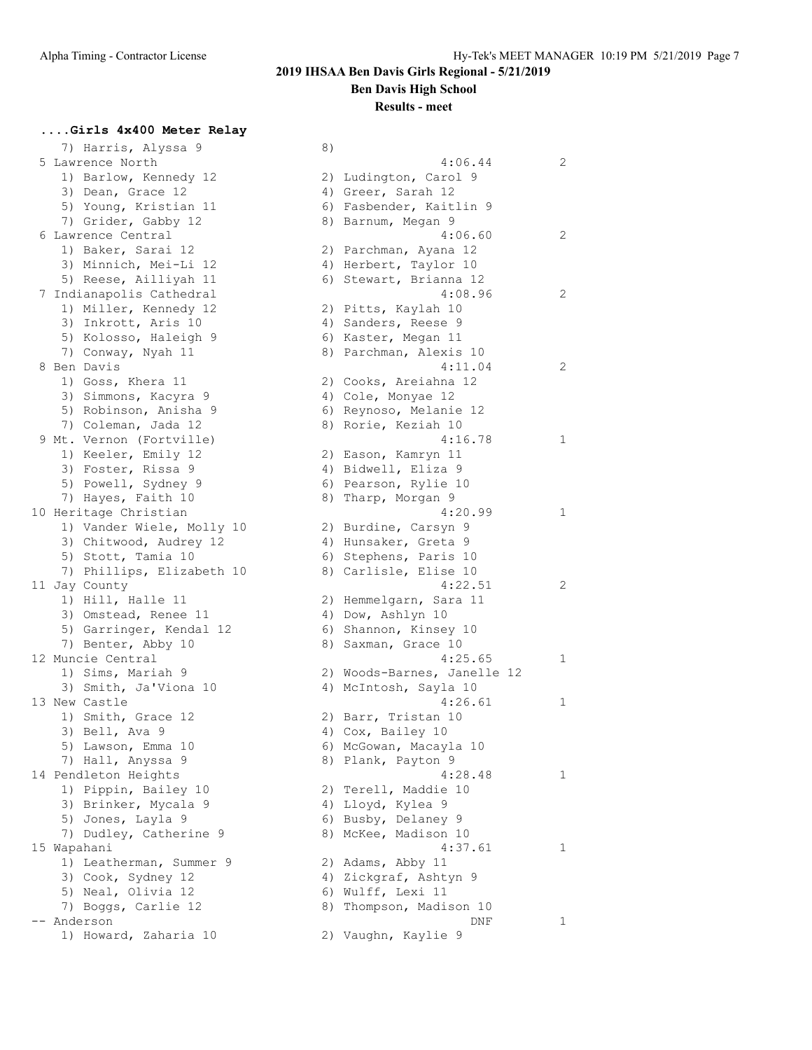### **Results - meet**

### **....Girls 4x400 Meter Relay**

7) Harris, Alyssa 9 8) 5 Lawrence North 1) Barlow, Kennedy 12 3) Dean, Grace 12 5) Young, Kristian 11 7) Grider, Gabby 12 6 Lawrence Central 1) Baker, Sarai 12 3) Minnich, Mei-Li 12 5) Reese, Ailliyah 11 7 Indianapolis Cathedral 1) Miller, Kennedy 12 3) Inkrott, Aris 10 5) Kolosso, Haleigh 9 7) Conway, Nyah 11 8 Ben Davis 1) Goss, Khera 11 3) Simmons, Kacyra 9 5) Robinson, Anisha 9 7) Coleman, Jada 12 9 Mt. Vernon (Fortville) 1) Keeler, Emily 12  $3)$  Foster, Rissa 9 5) Powell, Sydney 9 7) Hayes, Faith 10 10 Heritage Christian 1) Vander Wiele, Molly 10 3) Chitwood, Audrey 12 5) Stott, Tamia 10 7) Phillips, Elizabeth 10 11 Jay County 1) Hill, Halle 11 3) Omstead, Renee 11 5) Garringer, Kendal 12 7) Benter, Abby 10 12 Muncie Central 1) Sims, Mariah 9 3) Smith, Ja'Viona 10 13 New Castle 1) Smith, Grace 12  $3)$  Bell, Ava 9 5) Lawson, Emma 10 7) Hall, Anyssa 9 14 Pendleton Heights 1) Pippin, Bailey 10 3) Brinker, Mycala 9 5) Jones, Layla 9 7) Dudley, Catherine 9 15 Wapahani 1) Leatherman, Summer 9 3) Cook, Sydney 12 5) Neal, Olivia 12 7) Boggs, Carlie 12 -- Anderson 1) Howard, Zaharia 10 2) Vaughn, Kaylie 9

|    | 4:06.44                                  | 2 |
|----|------------------------------------------|---|
| 2) | Ludington, Carol 9                       |   |
|    | 4) Greer, Sarah 12                       |   |
|    | 6) Fasbender, Kaitlin 9                  |   |
| 8) | Barnum, Megan 9                          |   |
|    | 4:06.60                                  | 2 |
| 2) | Parchman, Ayana 12                       |   |
|    | 4) Herbert, Taylor 10                    |   |
|    | 6) Stewart, Brianna 12                   |   |
|    | 4:08.96                                  | 2 |
| 2) | Pitts, Kaylah 10                         |   |
| 4) | Sanders, Reese 9                         |   |
|    | 6) Kaster, Megan 11                      |   |
| 8) | Parchman, Alexis 10                      |   |
|    | 4:11.04                                  | 2 |
| 2) | Cooks, Areiahna 12                       |   |
| 4) | Cole, Monyae 12                          |   |
| 6) | Reynoso, Melanie 12                      |   |
| 8) | Rorie, Keziah 10                         |   |
|    | 4:16.78                                  | 1 |
| 2) | Eason, Kamryn 11                         |   |
| 4) | Bidwell, Eliza 9                         |   |
| 6) | Pearson, Rylie 10                        |   |
| 8) | Tharp, Morgan 9                          |   |
|    | 4:20.99                                  | 1 |
| 2) | Burdine, Carsyn 9                        |   |
|    | 4) Hunsaker, Greta 9                     |   |
| 6) |                                          |   |
| 8) | Stephens, Paris 10<br>Carlisle, Elise 10 |   |
|    | 4:22.51                                  |   |
|    |                                          | 2 |
| 2) | Hemmelgarn, Sara 11                      |   |
|    | 4) Dow, Ashlyn 10                        |   |
|    | 6) Shannon, Kinsey 10                    |   |
| 8) | Saxman, Grace 10                         |   |
|    | 4:25.65                                  | 1 |
|    | 2) Woods-Barnes, Janelle 12              |   |
|    | 4) McIntosh, Sayla 10                    |   |
|    | 4:26.61                                  | 1 |
|    | 2) Barr, Tristan 10                      |   |
|    | 4) Cox, Bailey 10                        |   |
|    | 6) McGowan, Macayla 10                   |   |
| 8) | Plank, Payton 9                          |   |
|    | 4:28.48                                  | 1 |
| 2) | Terell, Maddie 10                        |   |
| 4) | Lloyd, Kylea 9                           |   |
| 6) | Busby, Delaney<br>9                      |   |
| 8) | McKee, Madison 10                        |   |
|    | 4:37.61                                  | 1 |
| 2) | Adams, Abby 11                           |   |
| 4) | Zickgraf, Ashtyn 9                       |   |
| 6) | Wulff, Lexi 11                           |   |
| 8) | Thompson, Madison 10                     |   |
|    | DNF                                      | 1 |
| クト | Vauchn Kavlie 9                          |   |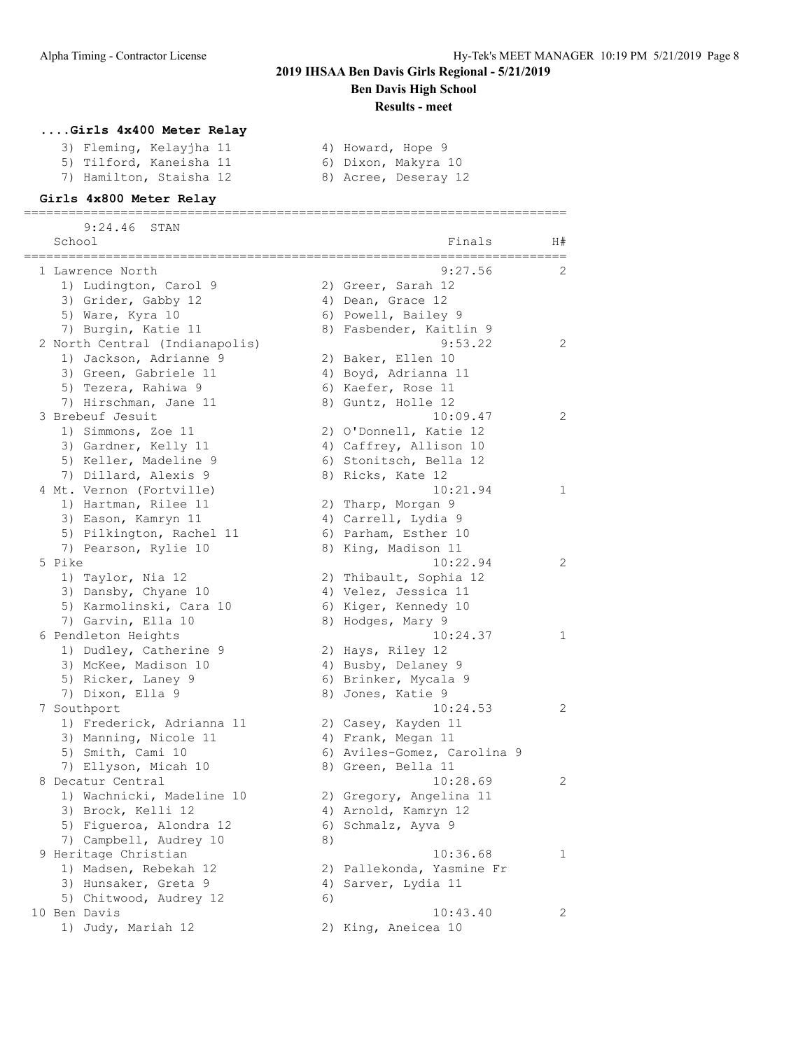#### **Results - meet**

### **....Girls 4x400 Meter Relay**

- 3) Fleming, Kelayjha 11  $\hskip1cm 4$ ) Howard, Hope 9
- 5) Tilford, Kaneisha 11  $\qquad \qquad$  6) Dixon, Makyra 10
- 7) Hamilton, Staisha 12 and 8) Acree, Deseray 12
- 

#### **Girls 4x800 Meter Relay** =========================================================================

9:24.46 STAN

| School                         |    | Finals<br>==========        | H# |
|--------------------------------|----|-----------------------------|----|
| 1 Lawrence North               |    | 9:27.56                     | 2  |
| 1) Ludington, Carol 9          |    | 2) Greer, Sarah 12          |    |
| 3) Grider, Gabby 12            |    | 4) Dean, Grace 12           |    |
| 5) Ware, Kyra 10               |    | 6) Powell, Bailey 9         |    |
| 7) Burgin, Katie 11            |    | 8) Fasbender, Kaitlin 9     |    |
| 2 North Central (Indianapolis) |    | 9:53.22                     | 2  |
| 1) Jackson, Adrianne 9         |    | 2) Baker, Ellen 10          |    |
| 3) Green, Gabriele 11          |    | 4) Boyd, Adrianna 11        |    |
| 5) Tezera, Rahiwa 9            |    | 6) Kaefer, Rose 11          |    |
| 7) Hirschman, Jane 11          |    | 8) Guntz, Holle 12          |    |
| 3 Brebeuf Jesuit               |    | 10:09.47                    | 2  |
| 1) Simmons, Zoe 11             |    | 2) O'Donnell, Katie 12      |    |
| 3) Gardner, Kelly 11           |    | 4) Caffrey, Allison 10      |    |
| 5) Keller, Madeline 9          |    | 6) Stonitsch, Bella 12      |    |
| 7) Dillard, Alexis 9           |    | 8) Ricks, Kate 12           |    |
| 4 Mt. Vernon (Fortville)       |    | 10:21.94                    | 1  |
| 1) Hartman, Rilee 11           |    | 2) Tharp, Morgan 9          |    |
| 3) Eason, Kamryn 11            |    | 4) Carrell, Lydia 9         |    |
| 5) Pilkington, Rachel 11       |    | 6) Parham, Esther 10        |    |
| 7) Pearson, Rylie 10           |    | 8) King, Madison 11         |    |
| 5 Pike                         |    | 10:22.94                    | 2  |
| 1) Taylor, Nia 12              |    | 2) Thibault, Sophia 12      |    |
| 3) Dansby, Chyane 10           |    | 4) Velez, Jessica 11        |    |
| 5) Karmolinski, Cara 10        |    | 6) Kiger, Kennedy 10        |    |
| 7) Garvin, Ella 10             |    | 8) Hodges, Mary 9           |    |
| 6 Pendleton Heights            |    | 10:24.37                    | 1  |
| 1) Dudley, Catherine 9         |    | 2) Hays, Riley 12           |    |
| 3) McKee, Madison 10           |    | 4) Busby, Delaney 9         |    |
| 5) Ricker, Laney 9             |    | 6) Brinker, Mycala 9        |    |
| 7) Dixon, Ella 9               |    | 8) Jones, Katie 9           |    |
| 7 Southport                    |    | 10:24.53                    | 2  |
| 1) Frederick, Adrianna 11      |    | 2) Casey, Kayden 11         |    |
| 3) Manning, Nicole 11          |    | 4) Frank, Megan 11          |    |
| 5) Smith, Cami 10              |    | 6) Aviles-Gomez, Carolina 9 |    |
| 7) Ellyson, Micah 10           |    | 8) Green, Bella 11          |    |
| 8 Decatur Central              |    | 10:28.69                    | 2  |
| 1) Wachnicki, Madeline 10      |    | 2) Gregory, Angelina 11     |    |
| 3) Brock, Kelli 12             |    | 4) Arnold, Kamryn 12        |    |
| 5) Figueroa, Alondra 12        |    | 6) Schmalz, Ayva 9          |    |
| 7) Campbell, Audrey 10         | 8) |                             |    |
| 9 Heritage Christian           |    | 10:36.68                    | 1  |
| 1) Madsen, Rebekah 12          |    | 2) Pallekonda, Yasmine Fr   |    |
| 3) Hunsaker, Greta 9           |    | 4) Sarver, Lydia 11         |    |
| 5) Chitwood, Audrey 12         | 6) |                             |    |
| 10 Ben Davis                   |    | 10:43.40                    | 2  |
| 1) Judy, Mariah 12             |    | 2) King, Aneicea 10         |    |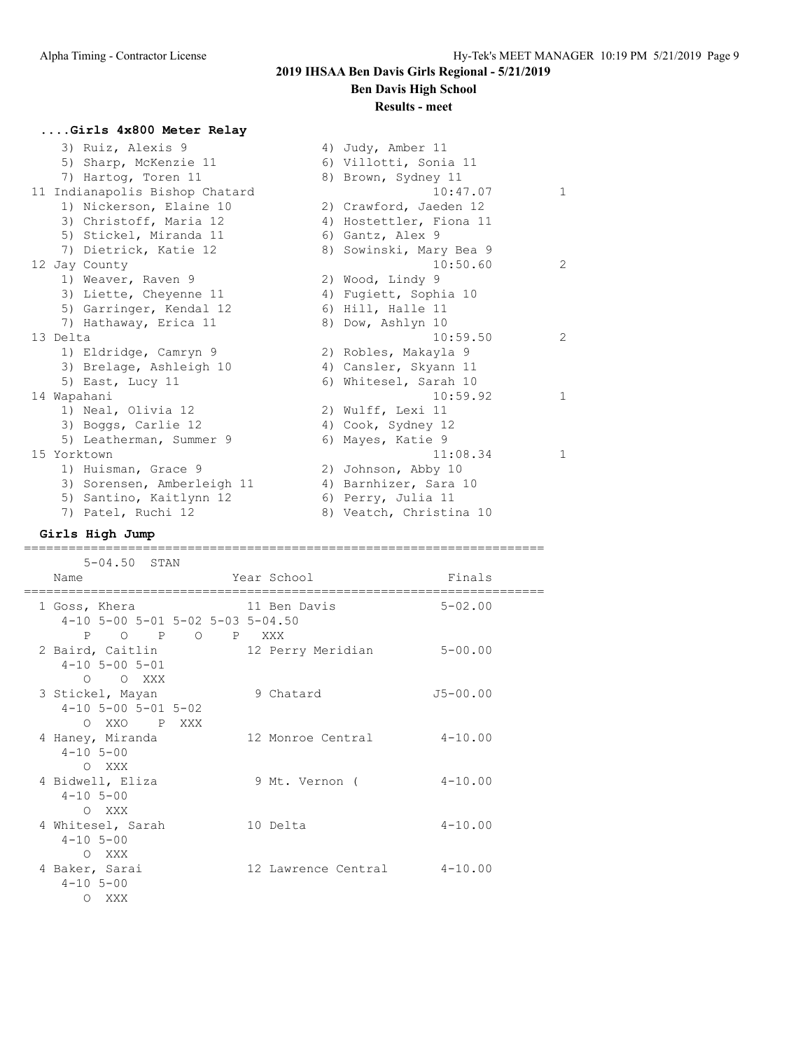# **2019 IHSAA Ben Davis Girls Regional - 5/21/2019**

# **Ben Davis High School**

### **Results - meet**

# **....Girls 4x800 Meter Relay**

| 3) Ruiz, Alexis 9              | 4) Judy, Amber 11       |               |
|--------------------------------|-------------------------|---------------|
| 5) Sharp, McKenzie 11          | 6) Villotti, Sonia 11   |               |
| 7) Hartog, Toren 11            | 8) Brown, Sydney 11     |               |
| 11 Indianapolis Bishop Chatard | 10:47.07                | $\mathbf{1}$  |
| 1) Nickerson, Elaine 10        | 2) Crawford, Jaeden 12  |               |
| 3) Christoff, Maria 12         | 4) Hostettler, Fiona 11 |               |
| 5) Stickel, Miranda 11         | 6) Gantz, Alex 9        |               |
| 7) Dietrick, Katie 12          | 8) Sowinski, Mary Bea 9 |               |
| 12 Jay County                  | 10:50.60                | 2             |
| 1) Weaver, Raven 9             | 2) Wood, Lindy 9        |               |
| 3) Liette, Cheyenne 11         | 4) Fugiett, Sophia 10   |               |
| 5) Garringer, Kendal 12        | 6) Hill, Halle 11       |               |
| 7) Hathaway, Erica 11          | 8) Dow, Ashlyn 10       |               |
| 13 Delta                       | 10:59.50                | $\mathcal{P}$ |
| 1) Eldridge, Camryn 9          | 2) Robles, Makayla 9    |               |
| 3) Brelage, Ashleigh 10        | 4) Cansler, Skyann 11   |               |
| 5) East, Lucy 11               | 6) Whitesel, Sarah 10   |               |
| 14 Wapahani                    | 10:59.92                | $\mathbf{1}$  |
| 1) Neal, Olivia 12             | 2) Wulff, Lexi 11       |               |
| 3) Boggs, Carlie 12            | 4) Cook, Sydney 12      |               |
| 5) Leatherman, Summer 9        | 6) Mayes, Katie 9       |               |
| 15 Yorktown                    | 11:08.34                | $\mathbf{1}$  |
| 1) Huisman, Grace 9            | 2) Johnson, Abby 10     |               |
| 3) Sorensen, Amberleigh 11     | 4) Barnhizer, Sara 10   |               |
| 5) Santino, Kaitlynn 12        | 6) Perry, Julia 11      |               |
| 7) Patel, Ruchi 12             | 8) Veatch, Christina 10 |               |

# **Girls High Jump**

#### ======================================================================

| $5 - 04.50$ STAN                                                     |                             |              |
|----------------------------------------------------------------------|-----------------------------|--------------|
| Name<br>============================                                 | Year School                 | Finals       |
| 1 Goss, Khera<br>$4-10$ 5-00 5-01 5-02 5-03 5-04.50<br>P O P O P XXX | 11 Ben Davis                | $5 - 02.00$  |
| 2 Baird, Caitlin<br>$4 - 10$ 5 - 00 5 - 01<br>O O XXX                | 12 Perry Meridian           | $5 - 00.00$  |
| 3 Stickel, Mayan<br>$4-10$ 5-00 5-01 5-02<br>O XXO P XXX             | 9 Chatard                   | $J5 - 00.00$ |
| 4 Haney, Miranda<br>$4 - 10$ 5-00<br>O XXX                           | 12 Monroe Central           | $4 - 10.00$  |
| 4 Bidwell, Eliza<br>$4 - 10$ 5-00<br>O XXX                           | 9 Mt. Vernon (              | $4 - 10.00$  |
| 4 Whitesel, Sarah<br>$4 - 10$ 5-00<br>O XXX                          | 10 Delta                    | $4 - 10.00$  |
| 4 Baker, Sarai<br>$4 - 10$ 5-00<br>O XXX                             | 12 Lawrence Central 4-10.00 |              |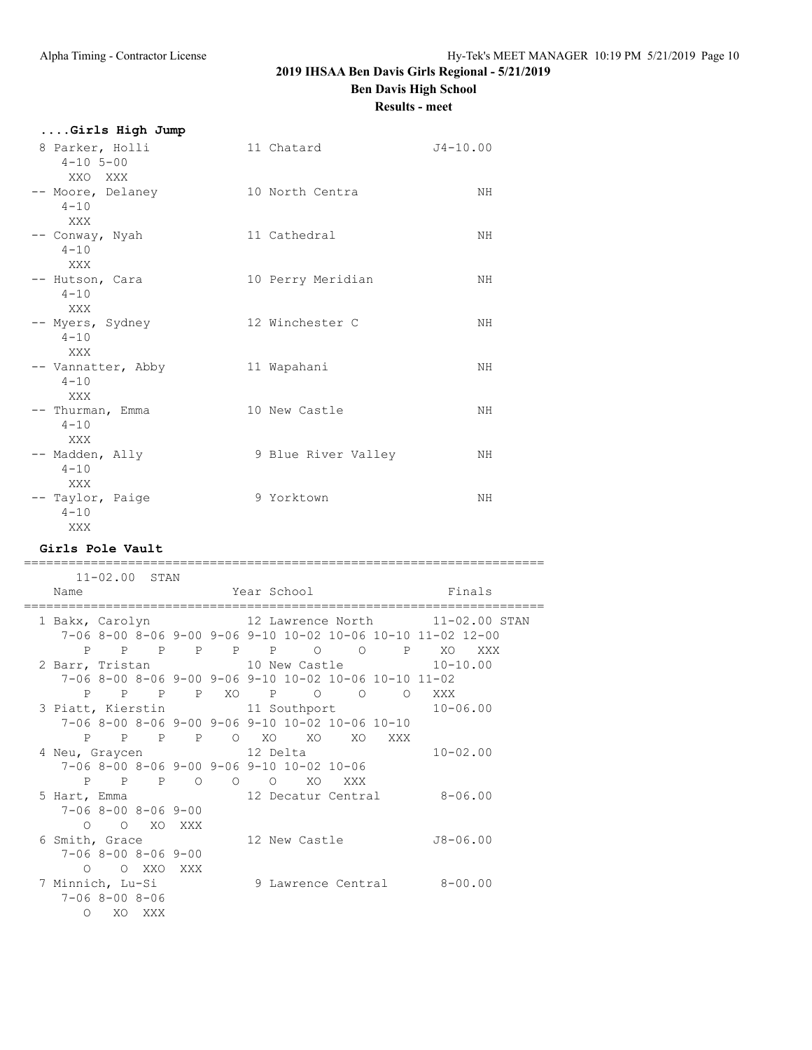**Results - meet**

**....Girls High Jump**

| 8 Parker, Holli<br>$4 - 10$ 5-00<br>XXO XXX | 11 Chatard          | $J4 - 10.00$ |
|---------------------------------------------|---------------------|--------------|
| -- Moore, Delaney<br>$4 - 10$<br>XXX        | 10 North Centra     | NH           |
| -- Conway, Nyah<br>$4 - 10$<br>XXX          | 11 Cathedral        | NH           |
| -- Hutson, Cara<br>$4 - 10$<br>XXX          | 10 Perry Meridian   | NH           |
| -- Myers, Sydney<br>$4 - 10$<br>XXX         | 12 Winchester C     | NH           |
| -- Vannatter, Abby<br>$4 - 10$<br>XXX       | 11 Wapahani         | NH           |
| -- Thurman, Emma<br>$4 - 10$<br>XXX         | 10 New Castle       | NH           |
| -- Madden, Ally<br>$4 - 10$<br>XXX          | 9 Blue River Valley | NH           |
| -- Taylor, Paige<br>$4 - 10$<br>XXX         | 9 Yorktown          | NH           |

#### **Girls Pole Vault**

====================================================================== 11-02.00 STAN Name Year School Finals ====================================================================== 1 Bakx, Carolyn 12 Lawrence North 11-02.00 STAN 7-06 8-00 8-06 9-00 9-06 9-10 10-02 10-06 10-10 11-02 12-00 P P P P P P O O P XO XXX 2 Barr, Tristan 10 New Castle 10-10.00 7-06 8-00 8-06 9-00 9-06 9-10 10-02 10-06 10-10 11-02 P P P P XO P O O O XXX 3 Piatt, Kierstin 11 Southport 10-06.00 7-06 8-00 8-06 9-00 9-06 9-10 10-02 10-06 10-10 P P P P O XO XO XO XXX 4 Neu, Graycen 12 Delta 10-02.00 7-06 8-00 8-06 9-00 9-06 9-10 10-02 10-06 P P P O O O XO XXX 5 Hart, Emma 12 Decatur Central 8-06.00 7-06 8-00 8-06 9-00 O O XO XXX<br>6 Smith, Grace 12 New Castle J8-06.00 7-06 8-00 8-06 9-00 O O XXO XXX 7 Minnich, Lu-Si 9 Lawrence Central 8-00.00 7-06 8-00 8-06 O XO XXX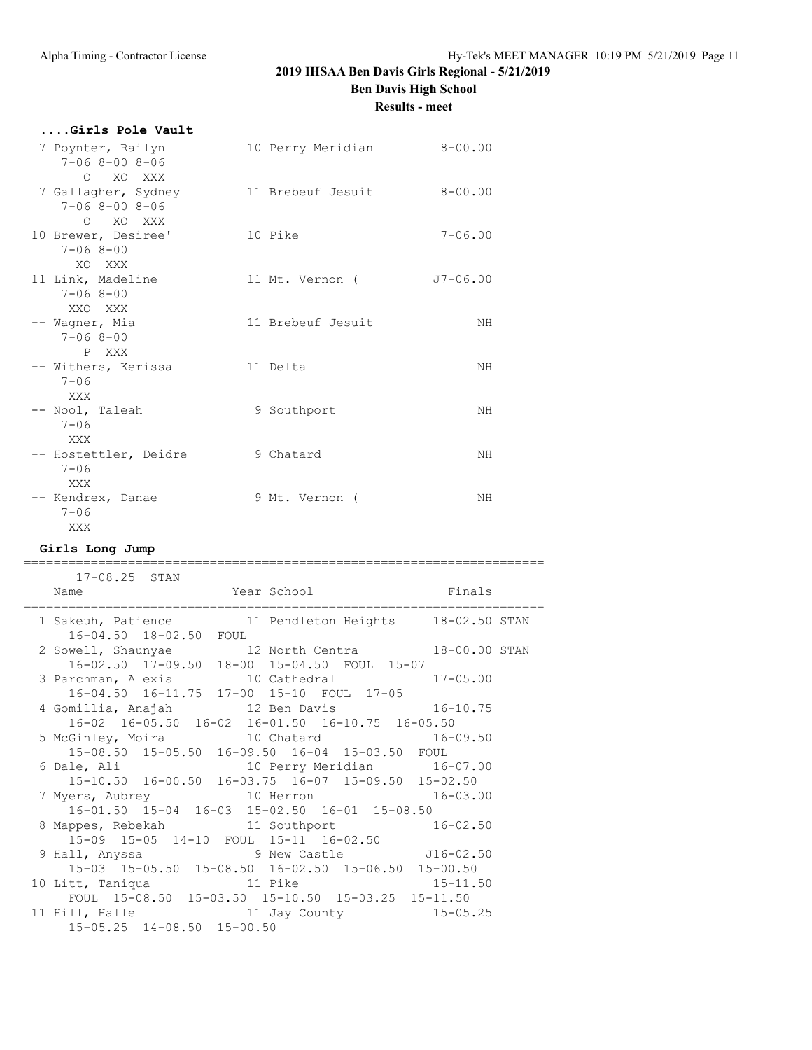**Results - meet**

| Girls Pole Vault                                            |                           |              |
|-------------------------------------------------------------|---------------------------|--------------|
| 7 Poynter, Railyn<br>$7 - 068 - 008 - 06$<br>O XO XXX       | 10 Perry Meridian 8-00.00 |              |
| 7 Gallagher, Sydney<br>$7 - 068 - 008 - 06$                 | 11 Brebeuf Jesuit         | $8 - 00.00$  |
| O XO XXX<br>10 Brewer, Desiree'<br>$7 - 068 - 00$<br>XO XXX | 10 Pike                   | $7 - 06.00$  |
| 11 Link, Madeline<br>$7 - 068 - 00$<br>XXO XXX              | 11 Mt. Vernon (           | $J7 - 06.00$ |
| -- Waqner, Mia<br>$7 - 068 - 00$<br>P XXX                   | 11 Brebeuf Jesuit         | ΝH           |
| -- Withers, Kerissa<br>$7 - 06$<br>XXX                      | 11 Delta                  | ΝH           |
| -- Nool, Taleah<br>$7 - 06$<br>XXX                          | 9 Southport               | ΝH           |
| -- Hostettler, Deidre<br>$7 - 06$<br>XXX                    | 9 Chatard                 | ΝH           |
| -- Kendrex, Danae<br>$7 - 06$<br>XXX                        | 9 Mt. Vernon (            | ΝH           |
| $Ci$ $m1a$ , $Tona$ , $T1$                                  |                           |              |

**Girls Long Jump**

| $17 - 08.25$ STAN                                                                                                      |  |              |  |
|------------------------------------------------------------------------------------------------------------------------|--|--------------|--|
| Year School Finals<br>Name                                                                                             |  |              |  |
| ===================================                                                                                    |  |              |  |
| 1 Sakeuh, Patience 11 Pendleton Heights 18-02.50 STAN<br>16-04.50 18-02.50 FOUL                                        |  |              |  |
|                                                                                                                        |  |              |  |
| 2 Sowell, Shaunyae 12 North Centra 18-00.00 STAN                                                                       |  |              |  |
| 16-02.50 17-09.50 18-00 15-04.50 FOUL 15-07                                                                            |  |              |  |
| 3 Parchman, Alexis 10 Cathedral 17-05.00                                                                               |  |              |  |
| 16-04.50 16-11.75 17-00 15-10 FOUL 17-05                                                                               |  |              |  |
| 4 Gomillia, Anajah 12 Ben Davis 16-10.75<br>16-02 16-05.50 16-02 16-01.50 16-10.75 16-05.50                            |  |              |  |
|                                                                                                                        |  |              |  |
| 15-08.50 15-05.50 16-09.50 16-04 15-03.50 FOUL                                                                         |  |              |  |
|                                                                                                                        |  |              |  |
| 6 Dale, Ali                   10 Perry Meridian         16-07.00<br>15-10.50 16-00.50 16-03.75 16-07 15-09.50 15-02.50 |  |              |  |
|                                                                                                                        |  |              |  |
| 7 Myers, Aubrey 10 Herron 16-03.00<br>16-01.50 15-04 16-03 15-02.50 16-01 15-08.50                                     |  |              |  |
|                                                                                                                        |  |              |  |
| 8 Mappes, Rebekah and 11 Southport 16-02.50                                                                            |  |              |  |
| 15-09 15-05 14-10 FOUL 15-11 16-02.50                                                                                  |  |              |  |
| 9 Hall, Anyssa 3 9 New Castle 516-02.50                                                                                |  |              |  |
| 15-03 15-05.50 15-08.50 16-02.50 15-06.50 15-00.50                                                                     |  | $15 - 11.50$ |  |
| 10 Litt, Taniqua 11 Pike                                                                                               |  |              |  |
| FOUL 15-08.50 15-03.50 15-10.50 15-03.25 15-11.50                                                                      |  |              |  |
| 11 Hill, Halle 11 Jay County 15-05.25                                                                                  |  |              |  |
| 15-05.25 14-08.50 15-00.50                                                                                             |  |              |  |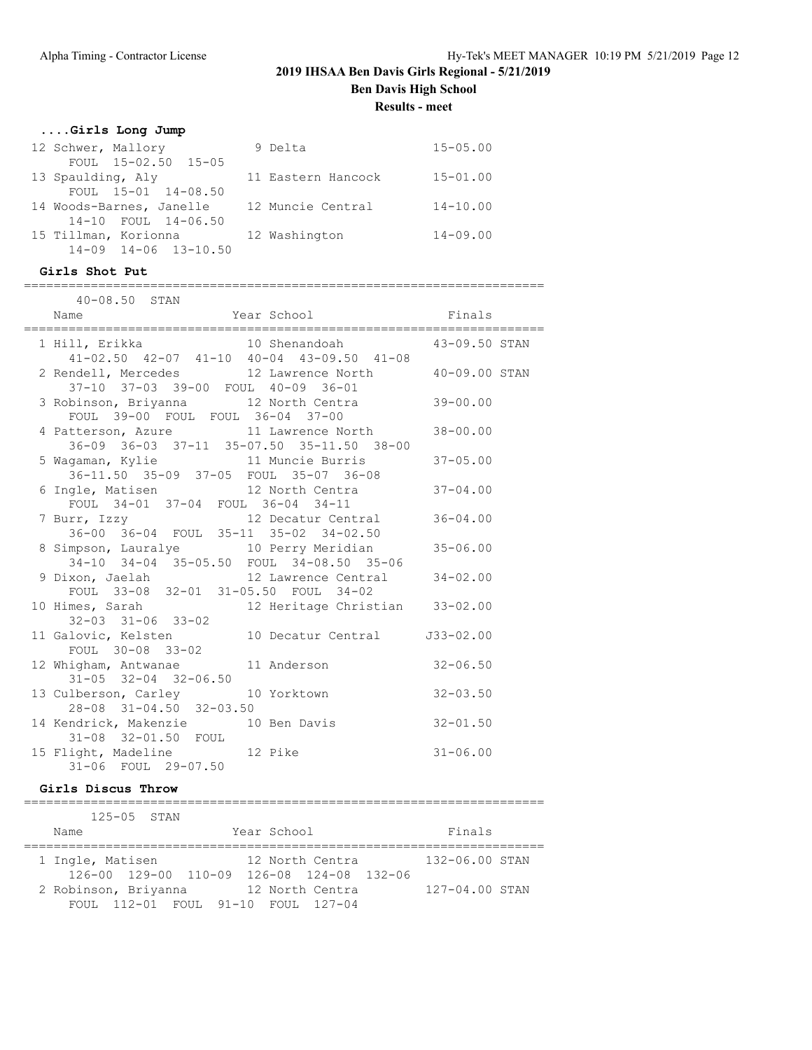**Results - meet**

### **....Girls Long Jump**

| 12 Schwer, Mallory               | 9 Delta            | $15 - 05.00$ |
|----------------------------------|--------------------|--------------|
| FOUL 15-02.50 15-05              |                    |              |
| 13 Spaulding, Aly                | 11 Eastern Hancock | $15 - 01.00$ |
| FOUL 15-01 14-08.50              |                    |              |
| 14 Woods-Barnes, Janelle         | 12 Muncie Central  | $14 - 10.00$ |
| 14-10 FOUL 14-06.50              |                    |              |
| 15 Tillman, Korionna             | 12 Washington      | $14 - 09.00$ |
| $14 - 09$ $14 - 06$ $13 - 10.50$ |                    |              |

======================================================================

#### **Girls Shot Put**

| $40 - 08.50$ STAN                                                                                           |  |
|-------------------------------------------------------------------------------------------------------------|--|
|                                                                                                             |  |
| 1 Hill, Erikka $10$ Shenandoah $43-09.50$ STAN<br>$41-02.50$ $42-07$ $41-10$ $40-04$ $43-09.50$ $41-08$     |  |
| 2 Rendell, Mercedes 12 Lawrence North 40-09.00 STAN<br>37-10 37-03 39-00 FOUL 40-09 36-01                   |  |
| 3 Robinson, Briyanna 12 North Centra 39-00.00<br>FOUL 39-00 FOUL FOUL 36-04 37-00                           |  |
| 4 Patterson, Azure 11 Lawrence North 38-00.00<br>36-09 36-03 37-11 35-07.50 35-11.50 38-00                  |  |
| 5 Wagaman, Kylie               11 Muncie Burris           37-05.00<br>36-11.50 35-09 37-05 FOUL 35-07 36-08 |  |
| 6 Ingle, Matisen 12 North Centra 37-04.00<br>FOUL 34-01 37-04 FOUL 36-04 34-11                              |  |
| 7 Burr, Izzy 12 Decatur Central 36-04.00<br>36-00 36-04 FOUL 35-11 35-02 34-02.50                           |  |
| 8 Simpson, Lauralye 10 Perry Meridian 35-06.00<br>34-10 34-04 35-05.50 FOUL 34-08.50 35-06                  |  |
| 9 Dixon, Jaelah 12 Lawrence Central 34-02.00<br>FOUL 33-08 32-01 31-05.50 FOUL 34-02                        |  |
| 10 Himes, Sarah 12 Heritage Christian 33-02.00<br>$32 - 03$ $31 - 06$ $33 - 02$                             |  |
| 11 Galovic, Kelsten 10 Decatur Central 133-02.00<br>FOUL 30-08 33-02                                        |  |
| 12 Whigham, Antwanae 11 Anderson 32-06.50<br>$31 - 05$ $32 - 04$ $32 - 06.50$                               |  |
| 13 Culberson, Carley 10 Yorktown 32-03.50<br>28-08 31-04.50 32-03.50                                        |  |
| 14 Kendrick, Makenzie 10 Ben Davis 32-01.50<br>31-08 32-01.50 FOUL                                          |  |
| 15 Flight, Madeline 12 Pike 31-06.00<br>31-06 FOUL 29-07.50                                                 |  |

#### **Girls Discus Throw**

====================================================================== 125-05 STAN Name Year School Finals ====================================================================== 1 Ingle, Matisen 12 North Centra 132-06.00 STAN 126-00 129-00 110-09 126-08 124-08 132-06 2 Robinson, Briyanna 12 North Centra 127-04.00 STAN FOUL 112-01 FOUL 91-10 FOUL 127-04